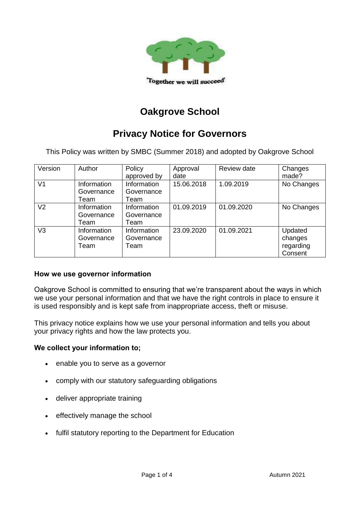

# **Oakgrove School**

## **Privacy Notice for Governors**

This Policy was written by SMBC (Summer 2018) and adopted by Oakgrove School

| Version        | Author      | Policy      | Approval   | Review date | Changes    |
|----------------|-------------|-------------|------------|-------------|------------|
|                |             | approved by | date       |             | made?      |
| V <sub>1</sub> | Information | Information | 15.06.2018 | 1.09.2019   | No Changes |
|                | Governance  | Governance  |            |             |            |
|                | Team        | Team        |            |             |            |
| V <sub>2</sub> | Information | Information | 01.09.2019 | 01.09.2020  | No Changes |
|                | Governance  | Governance  |            |             |            |
|                | Team        | Team        |            |             |            |
| V <sub>3</sub> | Information | Information | 23.09.2020 | 01.09.2021  | Updated    |
|                | Governance  | Governance  |            |             | changes    |
|                | Team        | Team        |            |             | regarding  |
|                |             |             |            |             | Consent    |

#### **How we use governor information**

Oakgrove School is committed to ensuring that we're transparent about the ways in which we use your personal information and that we have the right controls in place to ensure it is used responsibly and is kept safe from inappropriate access, theft or misuse.

This privacy notice explains how we use your personal information and tells you about your privacy rights and how the law protects you.

#### **We collect your information to;**

- enable you to serve as a governor
- comply with our statutory safeguarding obligations
- deliver appropriate training
- effectively manage the school
- fulfil statutory reporting to the Department for Education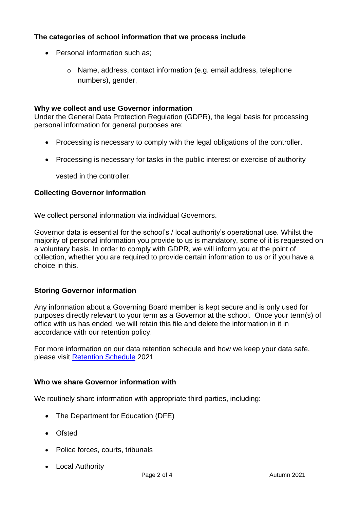## **The categories of school information that we process include**

- Personal information such as:
	- o Name, address, contact information (e.g. email address, telephone numbers), gender,

#### **Why we collect and use Governor information**

Under the General Data Protection Regulation (GDPR), the legal basis for processing personal information for general purposes are:

- Processing is necessary to comply with the legal obligations of the controller.
- Processing is necessary for tasks in the public interest or exercise of authority

vested in the controller.

#### **Collecting Governor information**

We collect personal information via individual Governors.

Governor data is essential for the school's / local authority's operational use. Whilst the majority of personal information you provide to us is mandatory, some of it is requested on a voluntary basis. In order to comply with GDPR, we will inform you at the point of collection, whether you are required to provide certain information to us or if you have a choice in this.

#### **Storing Governor information**

Any information about a Governing Board member is kept secure and is only used for purposes directly relevant to your term as a Governor at the school. Once your term(s) of office with us has ended, we will retain this file and delete the information in it in accordance with our retention policy.

For more information on our data retention schedule and how we keep your data safe, please visit [Retention Schedule](file://///oak-simssql.oakgrove.internal/admindata/Office%20Documents/Retention%20Schedule/School%20Retention%20Schedule%202020%2021%20Final.xlsx) 2021

#### **Who we share Governor information with**

We routinely share information with appropriate third parties, including:

- The Department for Education (DFE)
- Ofsted
- Police forces, courts, tribunals
- Local Authority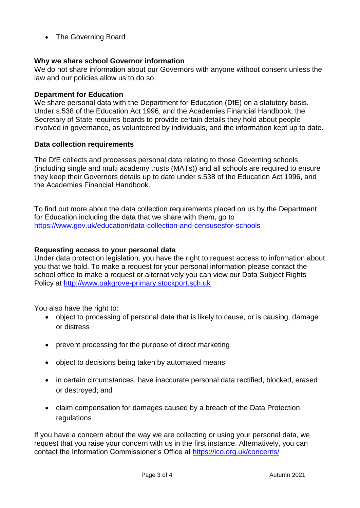• The Governing Board

#### **Why we share school Governor information**

We do not share information about our Governors with anyone without consent unless the law and our policies allow us to do so.

#### **Department for Education**

We share personal data with the Department for Education (DfE) on a statutory basis. Under s.538 of the Education Act 1996, and the Academies Financial Handbook, the Secretary of State requires boards to provide certain details they hold about people involved in governance, as volunteered by individuals, and the information kept up to date.

#### **Data collection requirements**

The DfE collects and processes personal data relating to those Governing schools (including single and multi academy trusts (MATs)) and all schools are required to ensure they keep their Governors details up to date under s.538 of the Education Act 1996, and the Academies Financial Handbook.

To find out more about the data collection requirements placed on us by the Department for Education including the data that we share with them, go to <https://www.gov.uk/education/data-collection-and-censusesfor-schools>

#### **Requesting access to your personal data**

Under data protection legislation, you have the right to request access to information about you that we hold. To make a request for your personal information please contact the school office to make a request or alternatively you can view our Data Subject Rights Policy at [http://www.oakgrove-primary.stockport.sch.uk](http://www.oakgrove-primary.stockport.sch.uk/)

You also have the right to:

- object to processing of personal data that is likely to cause, or is causing, damage or distress
- prevent processing for the purpose of direct marketing
- object to decisions being taken by automated means
- in certain circumstances, have inaccurate personal data rectified, blocked, erased or destroyed; and
- claim compensation for damages caused by a breach of the Data Protection regulations

If you have a concern about the way we are collecting or using your personal data, we request that you raise your concern with us in the first instance. Alternatively, you can contact the Information Commissioner's Office at<https://ico.org.uk/concerns/>